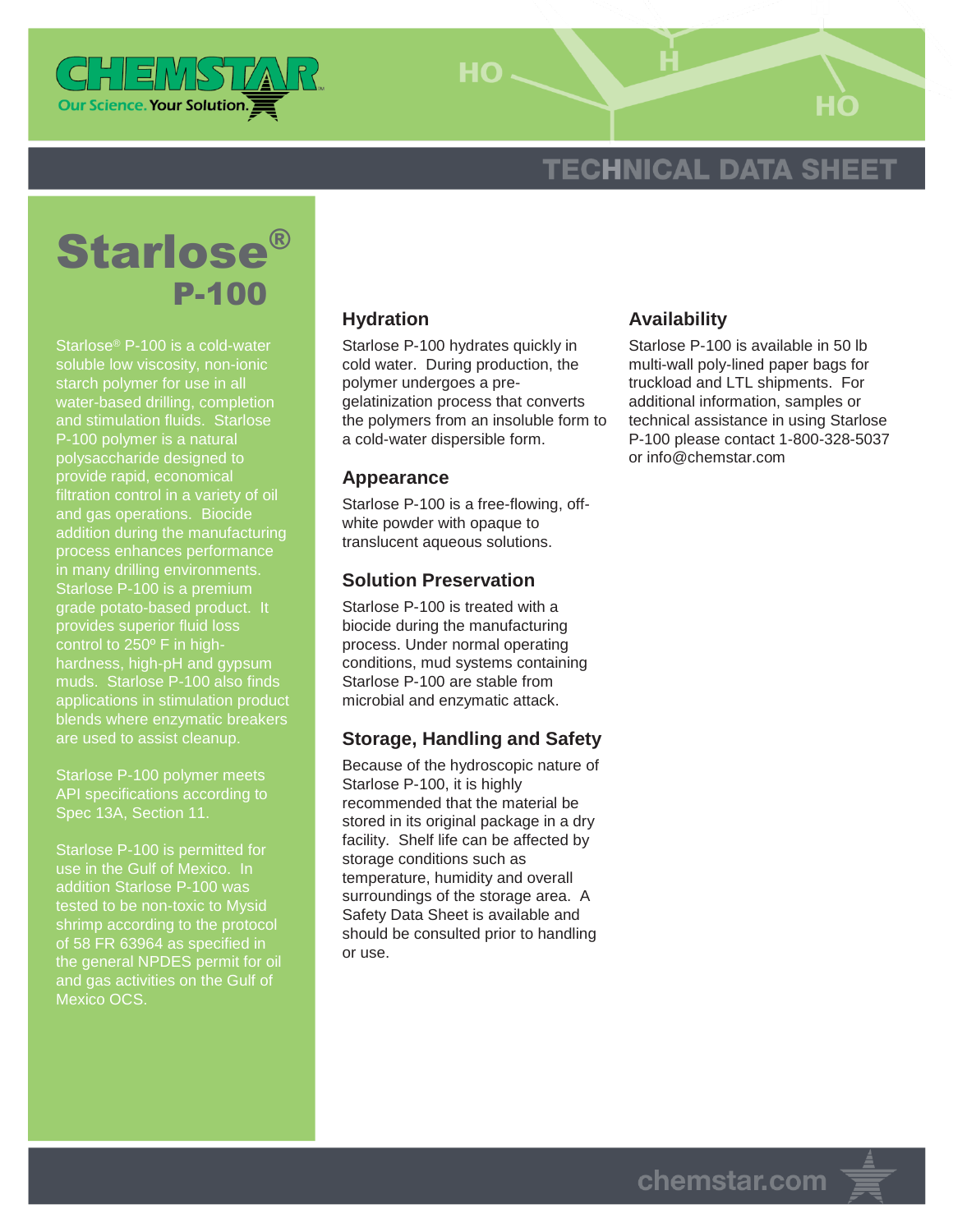

 $HO -$ 

# **TECHNICAL DATA SHEET**

# Starlose® P-100

Starlose® P-100 is a cold-water soluble low viscosity, non-ionic starch polymer for use in all water-based drilling, completion and stimulation fluids. Starlose P-100 polymer is a natural polysaccharide designed to provide rapid, economical filtration control in a variety of oil and gas operations. Biocide addition during the manufacturing process enhances performance in many drilling environments. Starlose P-100 is a premium grade potato-based product. It provides superior fluid loss control to 250º F in highhardness, high-pH and gypsum muds. Starlose P-100 also finds applications in stimulation product blends where enzymatic breakers are used to assist cleanup.

Starlose P-100 polymer meets API specifications according to Spec 13A, Section 11.

Starlose P-100 is permitted for use in the Gulf of Mexico. In addition Starlose P-100 was tested to be non-toxic to Mysid shrimp according to the protocol of 58 FR 63964 as specified in the general NPDES permit for oil and gas activities on the Gulf of Mexico OCS

### **Hydration**

Starlose P-100 hydrates quickly in cold water. During production, the polymer undergoes a pregelatinization process that converts the polymers from an insoluble form to a cold-water dispersible form.

#### **Appearance**

Starlose P-100 is a free-flowing, offwhite powder with opaque to translucent aqueous solutions.

#### **Solution Preservation**

Starlose P-100 is treated with a biocide during the manufacturing process. Under normal operating conditions, mud systems containing Starlose P-100 are stable from microbial and enzymatic attack.

#### **Storage, Handling and Safety**

Because of the hydroscopic nature of Starlose P-100, it is highly recommended that the material be stored in its original package in a dry facility. Shelf life can be affected by storage conditions such as temperature, humidity and overall surroundings of the storage area. A Safety Data Sheet is available and should be consulted prior to handling or use.

#### **Availability**

Starlose P-100 is available in 50 lb multi-wall poly-lined paper bags for truckload and LTL shipments. For additional information, samples or technical assistance in using Starlose P-100 please contact 1-800-328-5037 or info@chemstar.com